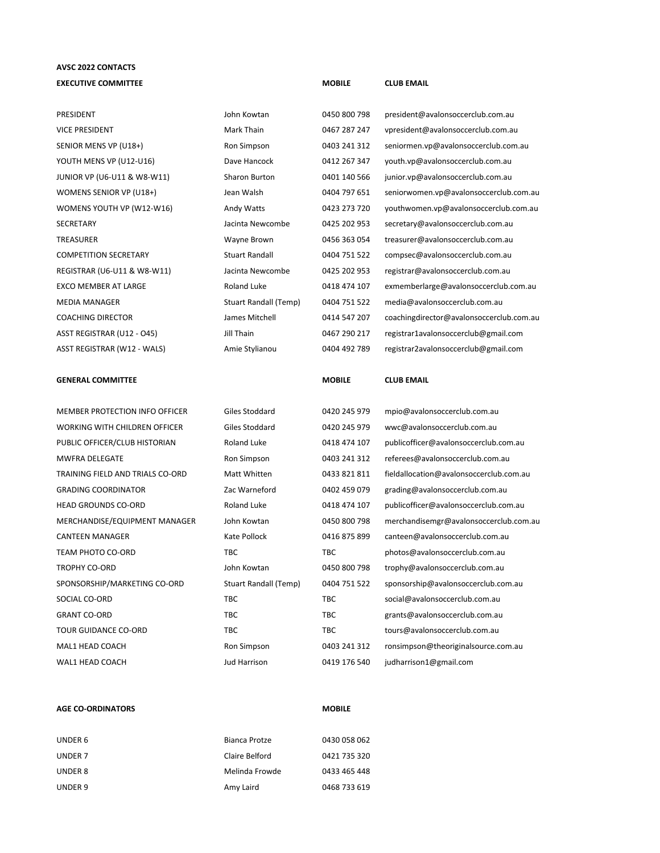## **AVSC 2022 CONTACTS EXECUTIVE COMMITTEE MOBILE CLUB EMAIL**

| PRESIDENT                        | John Kowtan                  | 0450 800 798  | president@avalonsoccerclub.com.au        |
|----------------------------------|------------------------------|---------------|------------------------------------------|
| <b>VICE PRESIDENT</b>            | Mark Thain                   | 0467 287 247  | vpresident@avalonsoccerclub.com.au       |
| SENIOR MENS VP (U18+)            | Ron Simpson                  | 0403 241 312  | seniormen.vp@avalonsoccerclub.com.au     |
| YOUTH MENS VP (U12-U16)          | Dave Hancock                 | 0412 267 347  | youth.vp@avalonsoccerclub.com.au         |
| JUNIOR VP (U6-U11 & W8-W11)      | Sharon Burton                | 0401 140 566  | junior.vp@avalonsoccerclub.com.au        |
| WOMENS SENIOR VP (U18+)          | Jean Walsh                   | 0404 797 651  | seniorwomen.vp@avalonsoccerclub.com.au   |
| WOMENS YOUTH VP (W12-W16)        | Andy Watts                   | 0423 273 720  | youthwomen.vp@avalonsoccerclub.com.au    |
| <b>SECRETARY</b>                 | Jacinta Newcombe             | 0425 202 953  | secretary@avalonsoccerclub.com.au        |
| <b>TREASURER</b>                 | Wayne Brown                  | 0456 363 054  | treasurer@avalonsoccerclub.com.au        |
| <b>COMPETITION SECRETARY</b>     | <b>Stuart Randall</b>        | 0404 751 522  | compsec@avalonsoccerclub.com.au          |
| REGISTRAR (U6-U11 & W8-W11)      | Jacinta Newcombe             | 0425 202 953  | registrar@avalonsoccerclub.com.au        |
| <b>EXCO MEMBER AT LARGE</b>      | <b>Roland Luke</b>           | 0418 474 107  | exmemberlarge@avalonsoccerclub.com.au    |
| <b>MEDIA MANAGER</b>             | <b>Stuart Randall (Temp)</b> | 0404 751 522  | media@avalonsoccerclub.com.au            |
| <b>COACHING DIRECTOR</b>         | James Mitchell               | 0414 547 207  | coachingdirector@avalonsoccerclub.com.au |
| ASST REGISTRAR (U12 - O45)       | Jill Thain                   | 0467 290 217  | registrar1avalonsoccerclub@gmail.com     |
| ASST REGISTRAR (W12 - WALS)      | Amie Stylianou               | 0404 492 789  | registrar2avalonsoccerclub@gmail.com     |
|                                  |                              |               |                                          |
| <b>GENERAL COMMITTEE</b>         |                              | <b>MOBILE</b> | <b>CLUB EMAIL</b>                        |
|                                  |                              |               |                                          |
| MEMBER PROTECTION INFO OFFICER   | Giles Stoddard               | 0420 245 979  | mpio@avalonsoccerclub.com.au             |
| WORKING WITH CHILDREN OFFICER    | Giles Stoddard               | 0420 245 979  | wwc@avalonsoccerclub.com.au              |
| PUBLIC OFFICER/CLUB HISTORIAN    | <b>Roland Luke</b>           | 0418 474 107  | publicofficer@avalonsoccerclub.com.au    |
| <b>MWFRA DELEGATE</b>            | Ron Simpson                  | 0403 241 312  | referees@avalonsoccerclub.com.au         |
| TRAINING FIELD AND TRIALS CO-ORD | Matt Whitten                 | 0433 821 811  | fieldallocation@avalonsoccerclub.com.au  |
| <b>GRADING COORDINATOR</b>       | Zac Warneford                | 0402 459 079  | grading@avalonsoccerclub.com.au          |
| <b>HEAD GROUNDS CO-ORD</b>       | <b>Roland Luke</b>           | 0418 474 107  | publicofficer@avalonsoccerclub.com.au    |
| MERCHANDISE/EQUIPMENT MANAGER    | John Kowtan                  | 0450 800 798  | merchandisemgr@avalonsoccerclub.com.au   |
| <b>CANTEEN MANAGER</b>           | Kate Pollock                 | 0416 875 899  | canteen@avalonsoccerclub.com.au          |
| TEAM PHOTO CO-ORD                | <b>TBC</b>                   | <b>TBC</b>    | photos@avalonsoccerclub.com.au           |
|                                  |                              |               |                                          |

SPONSORSHIP/MARKETING CO-ORD Stuart Randall (Temp) 0404 751 522 sponsorship@avalonsoccerclub.com.au SOCIAL CO-ORD TBC TBC TBC TBC social@avalonsoccerclub.com.au GRANT CO-ORD **TBC** TBC TBC grants@avalonsoccerclub.com.au TOUR GUIDANCE CO-ORD TBC TBC TBC TBC tours@avalonsoccerclub.com.au MAL1 HEAD COACH Ron Simpson 0403 241 312 ronsimpson@theoriginalsource.com.au WAL1 HEAD COACH Jud Harrison 0419 176 540 judharrison1@gmail.com

| UNDER 6 | Bianca Protze  | 0430 058 062 |
|---------|----------------|--------------|
| UNDER 7 | Claire Belford | 0421 735 320 |
| UNDER 8 | Melinda Frowde | 0433 465 448 |
| UNDER 9 | Amy Laird      | 0468 733 619 |

**AGE CO-ORDINATORS MOBILE**